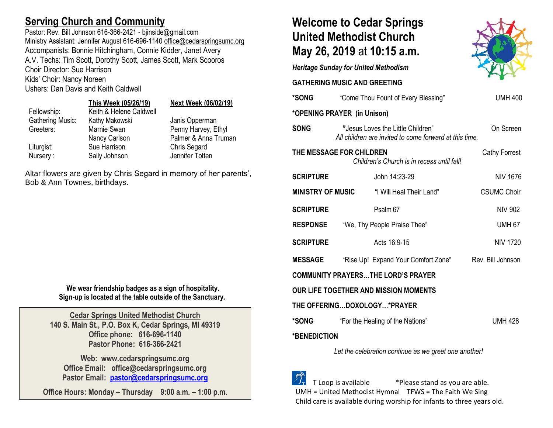## **Serving Church and Community**

Pastor: Rev. Bill Johnson 616-366-2421 - bjinside@gmail.com Ministry Assistant: Jennifer August 616-696-1140 [office@cedarspringsumc.org](mailto:office@cedarspringsumc.org) Accompanists: Bonnie Hitchingham, Connie Kidder, Janet Avery A.V. Techs: Tim Scott, Dorothy Scott, James Scott, Mark Scooros Choir Director: Sue Harrison Kids' Choir: Nancy Noreen

Ushers: Dan Davis and Keith Caldwell

# **This Week (05/26/19) Next Week (06/02/19)**

| Fellowship:      | Keith & Helene Caldwell |                      |
|------------------|-------------------------|----------------------|
| Gathering Music: | Kathy Makowski          | Janis Opperman       |
| Greeters:        | Marnie Swan             | Penny Harvey, Ethyl  |
|                  | Nancy Carlson           | Palmer & Anna Truman |
| Liturgist:       | Sue Harrison            | Chris Segard         |
| Nursery:         | Sally Johnson           | Jennifer Totten      |
|                  |                         |                      |

Altar flowers are given by Chris Segard in memory of her parents', Bob & Ann Townes, birthdays.

> **We wear friendship badges as a sign of hospitality. Sign-up is located at the table outside of the Sanctuary.**

**Cedar Springs United Methodist Church 140 S. Main St., P.O. Box K, Cedar Springs, MI 49319 Office phone: 616-696-1140 Pastor Phone: 616-366-2421**

**Web: www.cedarspringsumc.org Office Email: office@cedarspringsumc.org Pastor Email: [pastor@cedarspringsumc.org](mailto:pastor@cedarspringsumc.org)**

**Office Hours: Monday – Thursday 9:00 a.m. – 1:00 p.m.**

## **Welcome to Cedar Springs United Methodist Church May 26, 2019** at **10:15 a.m.**



**GATHERING MUSIC AND GREETING** 

| *SONG                                                 |                             | "Come Thou Fount of Every Blessing"                                                         | <b>UMH 400</b>       |  |  |
|-------------------------------------------------------|-----------------------------|---------------------------------------------------------------------------------------------|----------------------|--|--|
|                                                       | *OPENING PRAYER (in Unison) |                                                                                             |                      |  |  |
| <b>SONG</b>                                           |                             | "Jesus Loves the Little Children"<br>All children are invited to come forward at this time. | On Screen            |  |  |
|                                                       | THE MESSAGE FOR CHILDREN    | Children's Church is in recess until fall!                                                  | <b>Cathy Forrest</b> |  |  |
| <b>SCRIPTURE</b>                                      |                             | John 14:23-29                                                                               | <b>NIV 1676</b>      |  |  |
|                                                       |                             | <b>MINISTRY OF MUSIC</b> "I Will Heal Their Land"                                           | <b>CSUMC Choir</b>   |  |  |
| <b>SCRIPTURE</b>                                      |                             | Psalm <sub>67</sub>                                                                         | <b>NIV 902</b>       |  |  |
| <b>RESPONSE</b>                                       |                             | "We, Thy People Praise Thee"                                                                | <b>UMH 67</b>        |  |  |
| <b>SCRIPTURE</b>                                      |                             | Acts 16:9-15                                                                                | <b>NIV 1720</b>      |  |  |
| <b>MESSAGE</b>                                        |                             | "Rise Up! Expand Your Comfort Zone" Rev. Bill Johnson                                       |                      |  |  |
|                                                       |                             | <b>COMMUNITY PRAYERSTHE LORD'S PRAYER</b>                                                   |                      |  |  |
| OUR LIFE TOGETHER AND MISSION MOMENTS                 |                             |                                                                                             |                      |  |  |
|                                                       |                             | THE OFFERINGDOXOLOGY*PRAYER                                                                 |                      |  |  |
| <b>*SONG</b>                                          |                             | "For the Healing of the Nations"                                                            | <b>UMH 428</b>       |  |  |
| <b>*BENEDICTION</b>                                   |                             |                                                                                             |                      |  |  |
| Let the celebration continue as we greet one another! |                             |                                                                                             |                      |  |  |

 T Loop is available \*Please stand as you are able. UMH = United Methodist Hymnal TFWS = The Faith We Sing Child care is available during worship for infants to three years old.